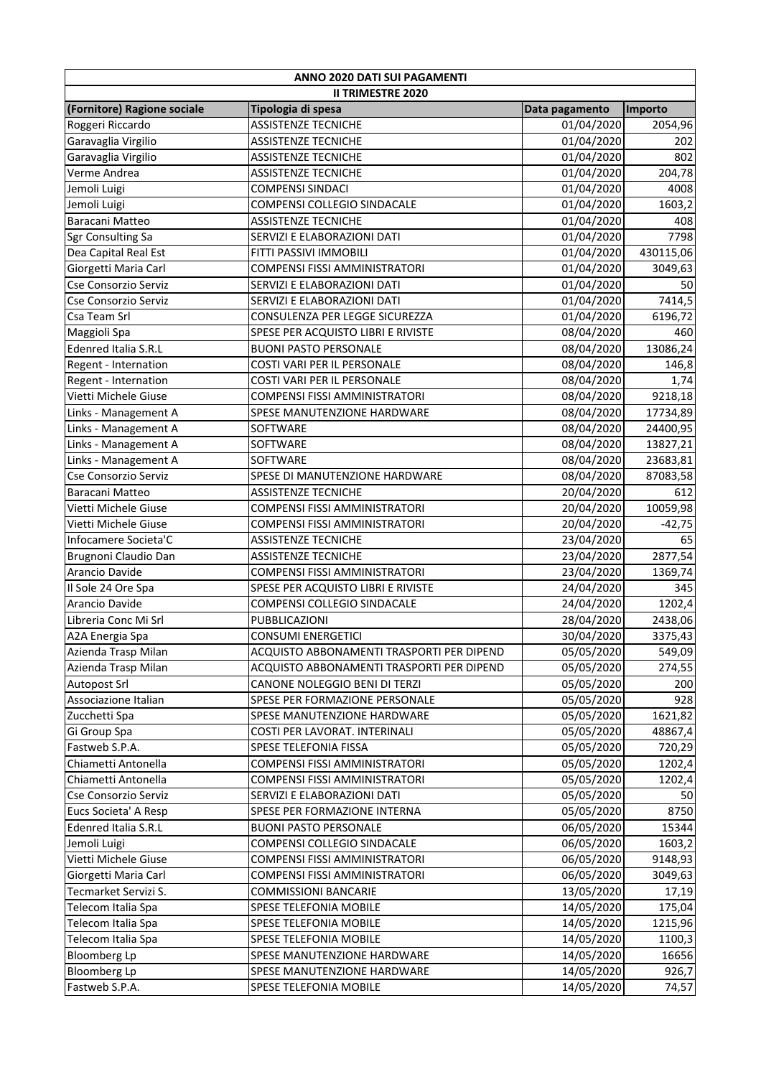| ANNO 2020 DATI SUI PAGAMENTI |                                           |                |           |  |
|------------------------------|-------------------------------------------|----------------|-----------|--|
| <b>II TRIMESTRE 2020</b>     |                                           |                |           |  |
| (Fornitore) Ragione sociale  | Tipologia di spesa                        | Data pagamento | Importo   |  |
| Roggeri Riccardo             | <b>ASSISTENZE TECNICHE</b>                | 01/04/2020     | 2054,96   |  |
| Garavaglia Virgilio          | <b>ASSISTENZE TECNICHE</b>                | 01/04/2020     | 202       |  |
| Garavaglia Virgilio          | <b>ASSISTENZE TECNICHE</b>                | 01/04/2020     | 802       |  |
| Verme Andrea                 | <b>ASSISTENZE TECNICHE</b>                | 01/04/2020     | 204,78    |  |
| Jemoli Luigi                 | <b>COMPENSI SINDACI</b>                   | 01/04/2020     | 4008      |  |
| Jemoli Luigi                 | <b>COMPENSI COLLEGIO SINDACALE</b>        | 01/04/2020     | 1603,2    |  |
| Baracani Matteo              | <b>ASSISTENZE TECNICHE</b>                | 01/04/2020     | 408       |  |
| Sgr Consulting Sa            | SERVIZI E ELABORAZIONI DATI               | 01/04/2020     | 7798      |  |
| Dea Capital Real Est         | FITTI PASSIVI IMMOBILI                    | 01/04/2020     | 430115,06 |  |
| Giorgetti Maria Carl         | COMPENSI FISSI AMMINISTRATORI             | 01/04/2020     | 3049,63   |  |
| Cse Consorzio Serviz         | SERVIZI E ELABORAZIONI DATI               | 01/04/2020     | 50        |  |
| Cse Consorzio Serviz         | SERVIZI E ELABORAZIONI DATI               | 01/04/2020     | 7414,5    |  |
| Csa Team Srl                 | CONSULENZA PER LEGGE SICUREZZA            | 01/04/2020     | 6196,72   |  |
| Maggioli Spa                 | SPESE PER ACQUISTO LIBRI E RIVISTE        | 08/04/2020     | 460       |  |
| <b>Edenred Italia S.R.L</b>  | <b>BUONI PASTO PERSONALE</b>              | 08/04/2020     | 13086,24  |  |
| Regent - Internation         | COSTI VARI PER IL PERSONALE               | 08/04/2020     | 146,8     |  |
| Regent - Internation         | COSTI VARI PER IL PERSONALE               | 08/04/2020     | 1,74      |  |
| Vietti Michele Giuse         | <b>COMPENSI FISSI AMMINISTRATORI</b>      | 08/04/2020     | 9218,18   |  |
| Links - Management A         | SPESE MANUTENZIONE HARDWARE               | 08/04/2020     | 17734,89  |  |
| Links - Management A         | SOFTWARE                                  | 08/04/2020     | 24400,95  |  |
| Links - Management A         | SOFTWARE                                  | 08/04/2020     | 13827,21  |  |
| Links - Management A         | SOFTWARE                                  | 08/04/2020     | 23683,81  |  |
| Cse Consorzio Serviz         | SPESE DI MANUTENZIONE HARDWARE            | 08/04/2020     | 87083,58  |  |
| Baracani Matteo              | <b>ASSISTENZE TECNICHE</b>                | 20/04/2020     | 612       |  |
| Vietti Michele Giuse         | COMPENSI FISSI AMMINISTRATORI             | 20/04/2020     | 10059,98  |  |
| Vietti Michele Giuse         | COMPENSI FISSI AMMINISTRATORI             | 20/04/2020     | $-42,75$  |  |
| Infocamere Societa'C         | <b>ASSISTENZE TECNICHE</b>                | 23/04/2020     | 65        |  |
| Brugnoni Claudio Dan         | <b>ASSISTENZE TECNICHE</b>                | 23/04/2020     | 2877,54   |  |
| Arancio Davide               | <b>COMPENSI FISSI AMMINISTRATORI</b>      | 23/04/2020     | 1369,74   |  |
| Il Sole 24 Ore Spa           | SPESE PER ACQUISTO LIBRI E RIVISTE        | 24/04/2020     | 345       |  |
| Arancio Davide               | COMPENSI COLLEGIO SINDACALE               | 24/04/2020     | 1202,4    |  |
| Libreria Conc Mi Srl         | PUBBLICAZIONI                             | 28/04/2020     | 2438,06   |  |
| A2A Energia Spa              | <b>CONSUMI ENERGETICI</b>                 | 30/04/2020     | 3375,43   |  |
| Azienda Trasp Milan          | ACQUISTO ABBONAMENTI TRASPORTI PER DIPEND | 05/05/2020     | 549,09    |  |
| Azienda Trasp Milan          | ACQUISTO ABBONAMENTI TRASPORTI PER DIPEND | 05/05/2020     | 274,55    |  |
| <b>Autopost Srl</b>          | CANONE NOLEGGIO BENI DI TERZI             | 05/05/2020     | 200       |  |
| Associazione Italian         | SPESE PER FORMAZIONE PERSONALE            | 05/05/2020     | 928       |  |
| Zucchetti Spa                | SPESE MANUTENZIONE HARDWARE               | 05/05/2020     | 1621,82   |  |
| Gi Group Spa                 | COSTI PER LAVORAT. INTERINALI             | 05/05/2020     | 48867,4   |  |
| Fastweb S.P.A.               | SPESE TELEFONIA FISSA                     | 05/05/2020     | 720,29    |  |
| Chiametti Antonella          | COMPENSI FISSI AMMINISTRATORI             | 05/05/2020     | 1202,4    |  |
| Chiametti Antonella          | COMPENSI FISSI AMMINISTRATORI             | 05/05/2020     | 1202,4    |  |
| Cse Consorzio Serviz         | SERVIZI E ELABORAZIONI DATI               | 05/05/2020     | 50        |  |
| Eucs Societa' A Resp         | SPESE PER FORMAZIONE INTERNA              | 05/05/2020     | 8750      |  |
| <b>Edenred Italia S.R.L</b>  | <b>BUONI PASTO PERSONALE</b>              | 06/05/2020     | 15344     |  |
| Jemoli Luigi                 | COMPENSI COLLEGIO SINDACALE               | 06/05/2020     | 1603,2    |  |
| Vietti Michele Giuse         | COMPENSI FISSI AMMINISTRATORI             | 06/05/2020     | 9148,93   |  |
| Giorgetti Maria Carl         | COMPENSI FISSI AMMINISTRATORI             | 06/05/2020     | 3049,63   |  |
| Tecmarket Servizi S.         | <b>COMMISSIONI BANCARIE</b>               | 13/05/2020     | 17,19     |  |
| Telecom Italia Spa           | <b>SPESE TELEFONIA MOBILE</b>             | 14/05/2020     | 175,04    |  |
| Telecom Italia Spa           | <b>SPESE TELEFONIA MOBILE</b>             | 14/05/2020     | 1215,96   |  |
| Telecom Italia Spa           | <b>SPESE TELEFONIA MOBILE</b>             | 14/05/2020     | 1100,3    |  |
| <b>Bloomberg Lp</b>          | SPESE MANUTENZIONE HARDWARE               | 14/05/2020     | 16656     |  |
| <b>Bloomberg Lp</b>          | SPESE MANUTENZIONE HARDWARE               | 14/05/2020     | 926,7     |  |
| Fastweb S.P.A.               | SPESE TELEFONIA MOBILE                    | 14/05/2020     |           |  |
|                              |                                           |                | 74,57     |  |